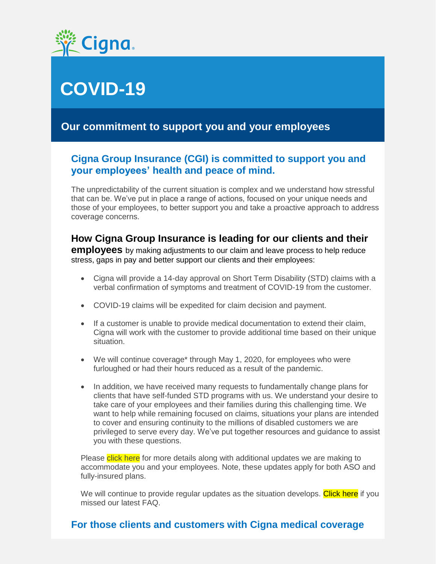

# **COVID-19**

### **Our commitment to support you and your employees**

#### **Cigna Group Insurance (CGI) is committed to support you and your employees' health and peace of mind.**

The unpredictability of the current situation is complex and we understand how stressful that can be. We've put in place a range of actions, focused on your unique needs and those of your employees, to better support you and take a proactive approach to address coverage concerns.

#### **How Cigna Group Insurance is leading for our clients and their**

**employees** by making adjustments to our claim and leave process to help reduce stress, gaps in pay and better support our clients and their employees:

- Cigna will provide a 14-day approval on Short Term Disability (STD) claims with a verbal confirmation of symptoms and treatment of COVID-19 from the customer.
- COVID-19 claims will be expedited for claim decision and payment.
- If a customer is unable to provide medical documentation to extend their claim, Cigna will work with the customer to provide additional time based on their unique situation.
- We will continue coverage\* through May 1, 2020, for employees who were furloughed or had their hours reduced as a result of the pandemic.
- In addition, we have received many requests to fundamentally change plans for clients that have self-funded STD programs with us. We understand your desire to take care of your employees and their families during this challenging time. We want to help while remaining focused on claims, situations your plans are intended to cover and ensuring continuity to the millions of disabled customers we are privileged to serve every day. We've put together resources and guidance to assist you with these questions.

Please click here for more details along with additional updates we are making to accommodate you and your employees. Note, these updates apply for both ASO and fully-insured plans.

We will continue to provide regular updates as the situation develops. Click here if you missed our latest FAQ.

#### **For those clients and customers with Cigna medical coverage**